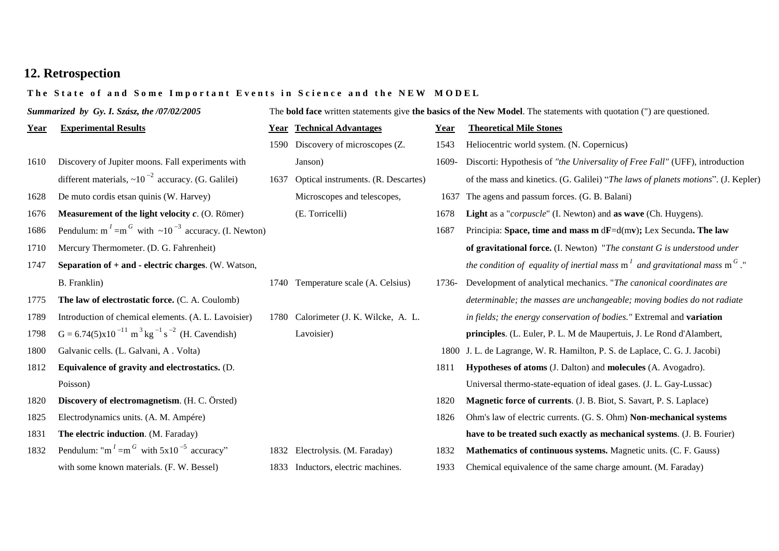# **12. Retrospection**

## The State of and Some Important Events in Science and the NEW MODEL

| Summarized by Gy. I. Szász, the /07/02/2005 |                                                                                       | The <b>bold face</b> written statements give <b>the basics of the New Model</b> . The statements with quotation (") are questioned. |                                       |       |                                                                                   |  |
|---------------------------------------------|---------------------------------------------------------------------------------------|-------------------------------------------------------------------------------------------------------------------------------------|---------------------------------------|-------|-----------------------------------------------------------------------------------|--|
| Year                                        | <b>Experimental Results</b>                                                           |                                                                                                                                     | <b>Year Technical Advantages</b>      | Year  | <b>Theoretical Mile Stones</b>                                                    |  |
|                                             |                                                                                       |                                                                                                                                     | 1590 Discovery of microscopes (Z.     | 1543  | Heliocentric world system. (N. Copernicus)                                        |  |
| 1610                                        | Discovery of Jupiter moons. Fall experiments with                                     |                                                                                                                                     | Janson)                               | 1609- | Discorti: Hypothesis of "the Universality of Free Fall" (UFF), introduction       |  |
|                                             | different materials, $\sim 10^{-2}$ accuracy. (G. Galilei)                            | 1637                                                                                                                                | Optical instruments. (R. Descartes)   |       | of the mass and kinetics. (G. Galilei) "The laws of planets motions". (J. Kepler) |  |
| 1628                                        | De muto cordis etsan quinis (W. Harvey)                                               |                                                                                                                                     | Microscopes and telescopes,           | 1637  | The agens and passum forces. (G. B. Balani)                                       |  |
| 1676                                        | Measurement of the light velocity $c$ . (O. Römer)                                    |                                                                                                                                     | (E. Torricelli)                       | 1678  | Light as a "corpuscle" (I. Newton) and as wave (Ch. Huygens).                     |  |
| 1686                                        | Pendulum: m <sup>1</sup> = m <sup>G</sup> with $\sim 10^{-3}$ accuracy. (I. Newton)   |                                                                                                                                     |                                       | 1687  | Principia: Space, time and mass $m dF = d(mv)$ ; Lex Secunda. The law             |  |
| 1710                                        | Mercury Thermometer. (D. G. Fahrenheit)                                               |                                                                                                                                     |                                       |       | of gravitational force. (I. Newton) "The constant G is understood under           |  |
| 1747                                        | Separation of + and - electric charges. (W. Watson,                                   |                                                                                                                                     |                                       |       | the condition of equality of inertial mass $ml$ and gravitational mass $mG$ ."    |  |
|                                             | B. Franklin)                                                                          |                                                                                                                                     | 1740 Temperature scale (A. Celsius)   | 1736- | Development of analytical mechanics. "The canonical coordinates are               |  |
| 1775                                        | The law of electrostatic force. (C. A. Coulomb)                                       |                                                                                                                                     |                                       |       | determinable; the masses are unchangeable; moving bodies do not radiate           |  |
| 1789                                        | Introduction of chemical elements. (A. L. Lavoisier)                                  |                                                                                                                                     | 1780 Calorimeter (J. K. Wilcke, A. L. |       | in fields; the energy conservation of bodies." Extremal and variation             |  |
| 1798                                        | $G = 6.74(5)x10^{-11}$ m <sup>3</sup> kg <sup>-1</sup> s <sup>-2</sup> (H. Cavendish) |                                                                                                                                     | Lavoisier)                            |       | principles. (L. Euler, P. L. M de Maupertuis, J. Le Rond d'Alambert,              |  |
| 1800                                        | Galvanic cells. (L. Galvani, A. Volta)                                                |                                                                                                                                     |                                       |       | 1800 J. L. de Lagrange, W. R. Hamilton, P. S. de Laplace, C. G. J. Jacobi)        |  |
| 1812                                        | Equivalence of gravity and electrostatics. (D.                                        |                                                                                                                                     |                                       | 1811  | Hypotheses of atoms (J. Dalton) and molecules (A. Avogadro).                      |  |
|                                             | Poisson)                                                                              |                                                                                                                                     |                                       |       | Universal thermo-state-equation of ideal gases. (J. L. Gay-Lussac)                |  |
| 1820                                        | Discovery of electromagnetism. (H. C. Örsted)                                         |                                                                                                                                     |                                       | 1820  | <b>Magnetic force of currents.</b> (J. B. Biot, S. Savart, P. S. Laplace)         |  |
| 1825                                        | Electrodynamics units. (A. M. Ampére)                                                 |                                                                                                                                     |                                       | 1826  | Ohm's law of electric currents. (G. S. Ohm) Non-mechanical systems                |  |
| 1831                                        | The electric induction. (M. Faraday)                                                  |                                                                                                                                     |                                       |       | have to be treated such exactly as mechanical systems. (J. B. Fourier)            |  |
| 1832                                        | Pendulum: "m <sup>1</sup> =m <sup>G</sup> with $5x10^{-5}$ accuracy"                  |                                                                                                                                     | 1832 Electrolysis. (M. Faraday)       | 1832  | Mathematics of continuous systems. Magnetic units. (C. F. Gauss)                  |  |
|                                             | with some known materials. (F. W. Bessel)                                             |                                                                                                                                     | 1833 Inductors, electric machines.    | 1933  | Chemical equivalence of the same charge amount. (M. Faraday)                      |  |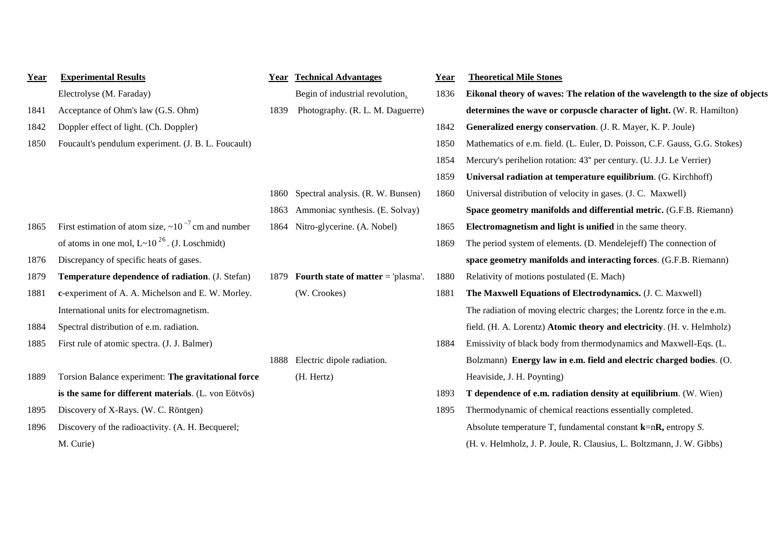| Year | <b>Experimental Results</b>                                 | Year | <b>Technical Advantages</b>          | Year | <b>Theoretical Mile Stones</b>                                                 |
|------|-------------------------------------------------------------|------|--------------------------------------|------|--------------------------------------------------------------------------------|
|      | Electrolyse (M. Faraday)                                    |      | Begin of industrial revolution.      | 1836 | Eikonal theory of waves: The relation of the wavelength to the size of objects |
| 1841 | Acceptance of Ohm's law (G.S. Ohm)                          | 1839 | Photography. (R. L. M. Daguerre)     |      | determines the wave or corpuscle character of light. (W. R. Hamilton)          |
| 1842 | Doppler effect of light. (Ch. Doppler)                      |      |                                      | 1842 | Generalized energy conservation. (J. R. Mayer, K. P. Joule)                    |
| 1850 | Foucault's pendulum experiment. (J. B. L. Foucault)         |      |                                      | 1850 | Mathematics of e.m. field. (L. Euler, D. Poisson, C.F. Gauss, G.G. Stokes)     |
|      |                                                             |      |                                      | 1854 | Mercury's perihelion rotation: 43" per century. (U. J.J. Le Verrier)           |
|      |                                                             |      |                                      | 1859 | Universal radiation at temperature equilibrium. (G. Kirchhoff)                 |
|      |                                                             | 1860 | Spectral analysis. (R. W. Bunsen)    | 1860 | Universal distribution of velocity in gases. (J. C. Maxwell)                   |
|      |                                                             | 1863 | Ammoniac synthesis. (E. Solvay)      |      | Space geometry manifolds and differential metric. (G.F.B. Riemann)             |
| 1865 | First estimation of atom size, $\sim 10^{-7}$ cm and number |      | 1864 Nitro-glycerine. (A. Nobel)     | 1865 | Electromagnetism and light is unified in the same theory.                      |
|      | of atoms in one mol, $L \sim 10^{26}$ . (J. Loschmidt)      |      |                                      | 1869 | The period system of elements. (D. Mendelejeff) The connection of              |
| 1876 | Discrepancy of specific heats of gases.                     |      |                                      |      | space geometry manifolds and interacting forces. (G.F.B. Riemann)              |
| 1879 | Temperature dependence of radiation. (J. Stefan)            | 1879 | Fourth state of matter $=$ 'plasma'. | 1880 | Relativity of motions postulated (E. Mach)                                     |
| 1881 | c-experiment of A. A. Michelson and E. W. Morley.           |      | (W. Crookes)                         | 1881 | The Maxwell Equations of Electrodynamics. (J. C. Maxwell)                      |
|      | International units for electromagnetism.                   |      |                                      |      | The radiation of moving electric charges; the Lorentz force in the e.m.        |
| 1884 | Spectral distribution of e.m. radiation.                    |      |                                      |      | field. (H. A. Lorentz) Atomic theory and electricity. (H. v. Helmholz)         |
| 1885 | First rule of atomic spectra. (J. J. Balmer)                |      |                                      | 1884 | Emissivity of black body from thermodynamics and Maxwell-Eqs. (L.              |
|      |                                                             | 1888 | Electric dipole radiation.           |      | Bolzmann) Energy law in e.m. field and electric charged bodies. (O.            |
| 1889 | Torsion Balance experiment: The gravitational force         |      | (H. Hertz)                           |      | Heaviside, J. H. Poynting)                                                     |
|      | is the same for different materials. (L. von Eötvös)        |      |                                      | 1893 | T dependence of e.m. radiation density at equilibrium. (W. Wien)               |
| 1895 | Discovery of X-Rays. (W. C. Röntgen)                        |      |                                      | 1895 | Thermodynamic of chemical reactions essentially completed.                     |
| 1896 | Discovery of the radioactivity. (A. H. Becquerel;           |      |                                      |      | Absolute temperature T, fundamental constant $k=nR$ , entropy S.               |
|      | M. Curie)                                                   |      |                                      |      | (H. v. Helmholz, J. P. Joule, R. Clausius, L. Boltzmann, J. W. Gibbs)          |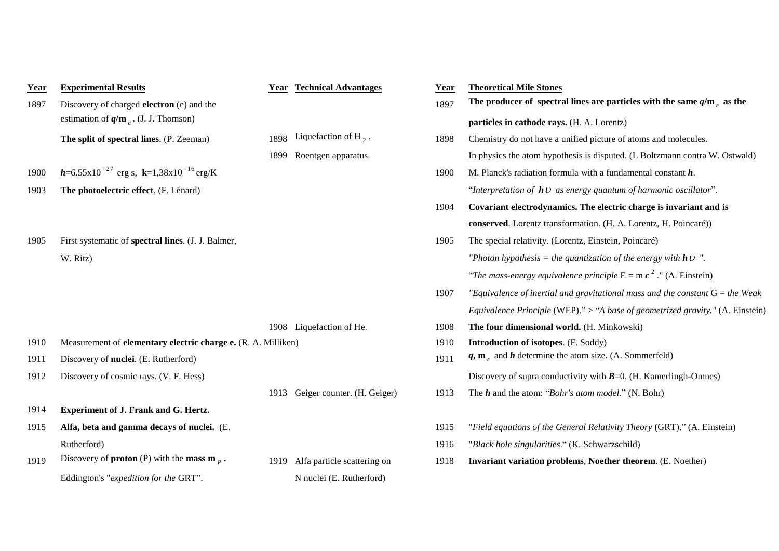| Year | <b>Experimental Results</b>                                    |      | <b>Year Technical Advantages</b> | Year | <b>Theoretical Mile Stones</b>                                                  |
|------|----------------------------------------------------------------|------|----------------------------------|------|---------------------------------------------------------------------------------|
| 1897 | Discovery of charged <b>electron</b> (e) and the               |      |                                  | 1897 | The producer of spectral lines are particles with the same $q/m_e$ as the       |
|      | estimation of $q/m_e$ . (J. J. Thomson)                        |      |                                  |      | particles in cathode rays. (H. A. Lorentz)                                      |
|      | The split of spectral lines. (P. Zeeman)                       | 1898 | Liquefaction of H <sub>2</sub> . | 1898 | Chemistry do not have a unified picture of atoms and molecules.                 |
|      |                                                                | 1899 | Roentgen apparatus.              |      | In physics the atom hypothesis is disputed. (L Boltzmann contra W. Ostwald)     |
| 1900 | $h=6.55\times10^{-27}$ erg s, $k=1,38\times10^{-16}$ erg/K     |      |                                  | 1900 | M. Planck's radiation formula with a fundamental constant $h$ .                 |
| 1903 | The photoelectric effect. (F. Lénard)                          |      |                                  |      | "Interpretation of $h\mathcal{V}$ as energy quantum of harmonic oscillator".    |
|      |                                                                |      |                                  | 1904 | Covariant electrodynamics. The electric charge is invariant and is              |
|      |                                                                |      |                                  |      | conserved. Lorentz transformation. (H. A. Lorentz, H. Poincaré))                |
| 1905 | First systematic of spectral lines. (J. J. Balmer,             |      |                                  | 1905 | The special relativity. (Lorentz, Einstein, Poincaré)                           |
|      | W. Ritz)                                                       |      |                                  |      | "Photon hypothesis = the quantization of the energy with $h \cup$ ".            |
|      |                                                                |      |                                  |      | "The mass-energy equivalence principle $E = mc^2$ ." (A. Einstein)              |
|      |                                                                |      |                                  | 1907 | "Equivalence of inertial and gravitational mass and the constant $G =$ the Weak |
|      |                                                                |      |                                  |      | Equivalence Principle (WEP)." > "A base of geometrized gravity." (A. Einstein)  |
|      |                                                                |      | 1908 Liquefaction of He.         | 1908 | The four dimensional world. (H. Minkowski)                                      |
| 1910 | Measurement of elementary electric charge e. (R. A. Milliken)  |      |                                  | 1910 | <b>Introduction of isotopes.</b> (F. Soddy)                                     |
| 1911 | Discovery of nuclei. (E. Rutherford)                           |      |                                  | 1911 | $q, me$ and $h$ determine the atom size. (A. Sommerfeld)                        |
| 1912 | Discovery of cosmic rays. (V. F. Hess)                         |      |                                  |      | Discovery of supra conductivity with $B=0$ . (H. Kamerlingh-Omnes)              |
|      |                                                                |      | 1913 Geiger counter. (H. Geiger) | 1913 | The $h$ and the atom: "Bohr's atom model." (N. Bohr)                            |
| 1914 | Experiment of J. Frank and G. Hertz.                           |      |                                  |      |                                                                                 |
| 1915 | Alfa, beta and gamma decays of nuclei. (E.                     |      |                                  | 1915 | "Field equations of the General Relativity Theory (GRT)." (A. Einstein)         |
|      | Rutherford)                                                    |      |                                  | 1916 | "Black hole singularities." (K. Schwarzschild)                                  |
| 1919 | Discovery of <b>proton</b> (P) with the <b>mass m</b> $_{p}$ . | 1919 | Alfa particle scattering on      | 1918 | Invariant variation problems, Noether theorem. (E. Noether)                     |
|      | Eddington's "expedition for the GRT".                          |      | N nuclei (E. Rutherford)         |      |                                                                                 |
|      |                                                                |      |                                  |      |                                                                                 |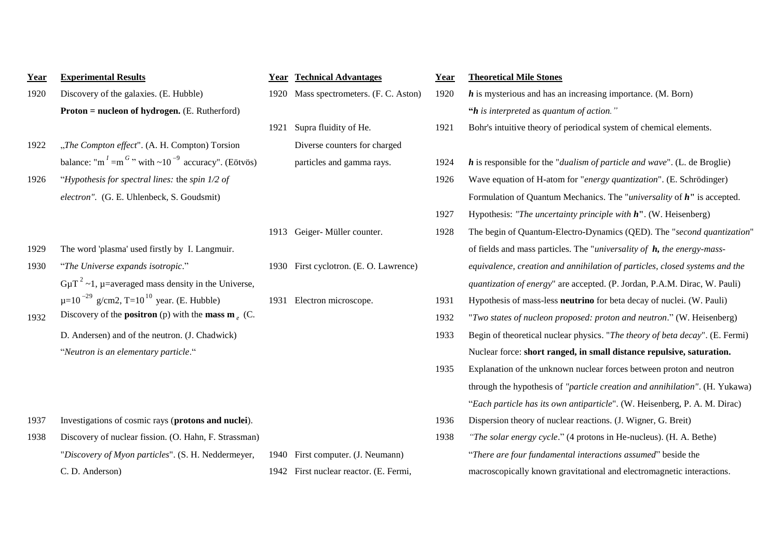| Year | <b>Experimental Results</b>                                                                 |      | <b>Year Technical Advantages</b>       | Year | <b>Theoretical Mile Stones</b>                                                      |
|------|---------------------------------------------------------------------------------------------|------|----------------------------------------|------|-------------------------------------------------------------------------------------|
| 1920 | Discovery of the galaxies. (E. Hubble)                                                      |      | 1920 Mass spectrometers. (F. C. Aston) | 1920 | $h$ is mysterious and has an increasing importance. (M. Born)                       |
|      | <b>Proton = nucleon of hydrogen.</b> (E. Rutherford)                                        |      |                                        |      | " $h$ is interpreted as quantum of action."                                         |
|      |                                                                                             | 1921 | Supra fluidity of He.                  | 1921 | Bohr's intuitive theory of periodical system of chemical elements.                  |
| 1922 | "The Compton effect". (A. H. Compton) Torsion                                               |      | Diverse counters for charged           |      |                                                                                     |
|      | balance: "m <sup>1</sup> =m <sup>G</sup> " with $\sim$ 10 <sup>-9</sup> accuracy". (Eötvös) |      | particles and gamma rays.              | 1924 | $h$ is responsible for the " <i>dualism of particle and wave</i> ". (L. de Broglie) |
| 1926 | "Hypothesis for spectral lines: the spin $1/2$ of                                           |      |                                        | 1926 | Wave equation of H-atom for "energy quantization". (E. Schrödinger)                 |
|      | electron". (G. E. Uhlenbeck, S. Goudsmit)                                                   |      |                                        |      | Formulation of Quantum Mechanics. The " <i>universality</i> of $h$ " is accepted.   |
|      |                                                                                             |      |                                        | 1927 | Hypothesis: "The uncertainty principle with $h$ ". (W. Heisenberg)                  |
|      |                                                                                             |      | 1913 Geiger-Müller counter.            | 1928 | The begin of Quantum-Electro-Dynamics (QED). The "second quantization               |
| 1929 | The word 'plasma' used firstly by I. Langmuir.                                              |      |                                        |      | of fields and mass particles. The "universality of $h$ , the energy-mass-           |
| 1930 | "The Universe expands isotropic."                                                           |      | 1930 First cyclotron. (E. O. Lawrence) |      | equivalence, creation and annihilation of particles, closed systems and the         |
|      | $G\mu T^2 \sim 1$ , $\mu$ =averaged mass density in the Universe,                           |      |                                        |      | quantization of energy" are accepted. (P. Jordan, P.A.M. Dirac, W. Pauli)           |
|      | $\mu = 10^{-29}$ g/cm2, T=10 <sup>10</sup> year. (E. Hubble)                                |      | 1931 Electron microscope.              | 1931 | Hypothesis of mass-less <b>neutrino</b> for beta decay of nuclei. (W. Pauli)        |
| 1932 | Discovery of the <b>positron</b> (p) with the <b>mass m</b> $\sim$ (C.                      |      |                                        | 1932 | "Two states of nucleon proposed: proton and neutron." (W. Heisenberg)               |
|      | D. Andersen) and of the neutron. (J. Chadwick)                                              |      |                                        | 1933 | Begin of theoretical nuclear physics. "The theory of beta decay". (E. Fermi         |
|      | "Neutron is an elementary particle."                                                        |      |                                        |      | Nuclear force: short ranged, in small distance repulsive, saturation.               |
|      |                                                                                             |      |                                        | 1935 | Explanation of the unknown nuclear forces between proton and neutron                |
|      |                                                                                             |      |                                        |      | through the hypothesis of "particle creation and annihilation". (H. Yukaw           |
|      |                                                                                             |      |                                        |      | "Each particle has its own antiparticle". (W. Heisenberg, P. A. M. Dirac)           |
| 1937 | Investigations of cosmic rays (protons and nuclei).                                         |      |                                        | 1936 | Dispersion theory of nuclear reactions. (J. Wigner, G. Breit)                       |
| 1938 | Discovery of nuclear fission. (O. Hahn, F. Strassman)                                       |      |                                        | 1938 | "The solar energy cycle." (4 protons in He-nucleus). (H. A. Bethe)                  |
|      | "Discovery of Myon particles". (S. H. Neddermeyer,                                          | 1940 | First computer. (J. Neumann)           |      | "There are four fundamental interactions assumed" beside the                        |
|      | C.D. Anderson)                                                                              |      | 1942 First nuclear reactor. (E. Fermi, |      | macroscopically known gravitational and electromagnetic interactions.               |

| <b>Experimental Results</b>                                                                 | Year | <b>Technical Advantages</b>            | Year | <b>Theoretical Mile Stones</b>                                                      |
|---------------------------------------------------------------------------------------------|------|----------------------------------------|------|-------------------------------------------------------------------------------------|
| Discovery of the galaxies. (E. Hubble)                                                      | 1920 | Mass spectrometers. (F. C. Aston)      | 1920 | $h$ is mysterious and has an increasing importance. (M. Born)                       |
| <b>Proton = nucleon of hydrogen.</b> (E. Rutherford)                                        |      |                                        |      | " $h$ is interpreted as quantum of action."                                         |
|                                                                                             | 1921 | Supra fluidity of He.                  | 1921 | Bohr's intuitive theory of periodical system of chemical elements.                  |
| "The Compton effect". (A. H. Compton) Torsion                                               |      | Diverse counters for charged           |      |                                                                                     |
| balance: "m <sup>1</sup> =m <sup>G</sup> " with $\sim$ 10 <sup>-9</sup> accuracy". (Eötvös) |      | particles and gamma rays.              | 1924 | $h$ is responsible for the " <i>dualism of particle and wave</i> ". (L. de Broglie) |
| "Hypothesis for spectral lines: the spin $1/2$ of                                           |      |                                        | 1926 | Wave equation of H-atom for "energy quantization". (E. Schrödinger)                 |
| electron". (G. E. Uhlenbeck, S. Goudsmit)                                                   |      |                                        |      | Formulation of Quantum Mechanics. The " <i>universality</i> of $h$ " is accepted.   |
|                                                                                             |      |                                        | 1927 | Hypothesis: "The uncertainty principle with $h$ ". (W. Heisenberg)                  |
|                                                                                             |      | 1913 Geiger-Müller counter.            | 1928 | The begin of Quantum-Electro-Dynamics (QED). The "second quantization"              |
| The word 'plasma' used firstly by I. Langmuir.                                              |      |                                        |      | of fields and mass particles. The "universality of $h$ , the energy-mass-           |
| "The Universe expands isotropic."                                                           |      | 1930 First cyclotron. (E. O. Lawrence) |      | equivalence, creation and annihilation of particles, closed systems and the         |
| $G\mu T^2 \sim 1$ , $\mu$ =averaged mass density in the Universe,                           |      |                                        |      | quantization of energy" are accepted. (P. Jordan, P.A.M. Dirac, W. Pauli)           |
| $\mu = 10^{-29}$ g/cm2, T=10 <sup>10</sup> year. (E. Hubble)                                | 1931 | Electron microscope.                   | 1931 | Hypothesis of mass-less neutrino for beta decay of nuclei. (W. Pauli)               |
| Discovery of the <b>positron</b> (p) with the <b>mass m</b> $(C$ .                          |      |                                        | 1932 | "Two states of nucleon proposed: proton and neutron." (W. Heisenberg)               |
| D. Andersen) and of the neutron. (J. Chadwick)                                              |      |                                        | 1933 | Begin of theoretical nuclear physics. "The theory of beta decay". (E. Fermi)        |
| "Neutron is an elementary particle."                                                        |      |                                        |      | Nuclear force: short ranged, in small distance repulsive, saturation.               |
|                                                                                             |      |                                        | 1935 | Explanation of the unknown nuclear forces between proton and neutron                |
|                                                                                             |      |                                        |      | through the hypothesis of "particle creation and annihilation". (H. Yukawa)         |
|                                                                                             |      |                                        |      | "Each particle has its own antiparticle". (W. Heisenberg, P. A. M. Dirac)           |
| Investigations of cosmic rays (protons and nuclei).                                         |      |                                        | 1936 | Dispersion theory of nuclear reactions. (J. Wigner, G. Breit)                       |
| Discovery of nuclear fission. (O. Hahn, F. Strassman)                                       |      |                                        | 1938 | "The solar energy cycle." (4 protons in He-nucleus). (H. A. Bethe)                  |
| "Discovery of Myon particles". (S. H. Neddermeyer,                                          | 1940 | First computer. (J. Neumann)           |      | "There are four fundamental interactions assumed" beside the                        |
| C. D. Anderson)                                                                             |      | 1942 First nuclear reactor. (E. Fermi, |      | macroscopically known gravitational and electromagnetic interactions.               |
|                                                                                             |      |                                        |      |                                                                                     |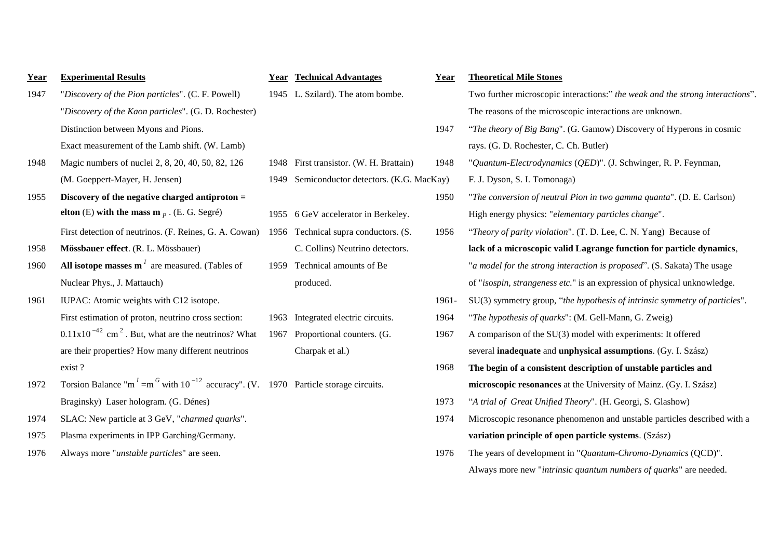| Year | <b>Experimental Results</b>                                                                                           | <b>Year</b> | <b>Technical Advantages</b>             | Year     | <b>Theoretical Mile Stones</b>                            |
|------|-----------------------------------------------------------------------------------------------------------------------|-------------|-----------------------------------------|----------|-----------------------------------------------------------|
| 1947 | "Discovery of the Pion particles". (C. F. Powell)                                                                     |             | 1945 L. Szilard). The atom bombe.       |          | Two further microscopic interactions:" the weak and th    |
|      | "Discovery of the Kaon particles". (G. D. Rochester)                                                                  |             |                                         |          | The reasons of the microscopic interactions are unknow    |
|      | Distinction between Myons and Pions.                                                                                  |             |                                         | 1947     | "The theory of Big Bang". (G. Gamow) Discovery of H       |
|      | Exact measurement of the Lamb shift. (W. Lamb)                                                                        |             |                                         |          | rays. (G. D. Rochester, C. Ch. Butler)                    |
| 1948 | Magic numbers of nuclei 2, 8, 20, 40, 50, 82, 126                                                                     |             | 1948 First transistor. (W. H. Brattain) | 1948     | "Quantum-Electrodynamics (QED)". (J. Schwinger, R.        |
|      | (M. Goeppert-Mayer, H. Jensen)                                                                                        | 1949        | Semiconductor detectors. (K.G. MacKay)  |          | F. J. Dyson, S. I. Tomonaga)                              |
| 1955 | Discovery of the negative charged antiproton $=$                                                                      |             |                                         | 1950     | "The conversion of neutral Pion in two gamma quanta"      |
|      | elton (E) with the mass $m_p$ . (E. G. Segré)                                                                         |             | 1955 6 GeV accelerator in Berkeley.     |          | High energy physics: "elementary particles change".       |
|      | First detection of neutrinos. (F. Reines, G. A. Cowan)                                                                |             | 1956 Technical supra conductors. (S.    | 1956     | "Theory of parity violation". (T. D. Lee, C. N. Yang) I   |
| 1958 | Mössbauer effect. (R. L. Mössbauer)                                                                                   |             | C. Collins) Neutrino detectors.         |          | lack of a microscopic valid Lagrange function for pa      |
| 1960 | All isotope masses $\mathbf{m}^{I}$ are measured. (Tables of                                                          | 1959        | Technical amounts of Be                 |          | "a model for the strong interaction is proposed". (S. Sa  |
|      | Nuclear Phys., J. Mattauch)                                                                                           |             | produced.                               |          | of "isospin, strangeness etc." is an expression of physic |
| 1961 | IUPAC: Atomic weights with C12 isotope.                                                                               |             |                                         | $1961 -$ | $SU(3)$ symmetry group, "the hypothesis of intrinsic syn  |
|      | First estimation of proton, neutrino cross section:                                                                   |             | 1963 Integrated electric circuits.      | 1964     | "The hypothesis of quarks": (M. Gell-Mann, G. Zweig)      |
|      | $0.11x10^{-42}$ cm <sup>2</sup> . But, what are the neutrinos? What                                                   | 1967        | Proportional counters. (G.              | 1967     | A comparison of the $SU(3)$ model with experiments: It    |
|      | are their properties? How many different neutrinos                                                                    |             | Charpak et al.)                         |          | several inadequate and unphysical assumptions. (Gy.       |
|      | exist?                                                                                                                |             |                                         | 1968     | The begin of a consistent description of unstable par     |
| 1972 | Torsion Balance "m <sup>1</sup> =m <sup>G</sup> with 10 <sup>-12</sup> accuracy". (V. 1970 Particle storage circuits. |             |                                         |          | microscopic resonances at the University of Mainz. (C     |
|      | Braginsky) Laser hologram. (G. Dénes)                                                                                 |             |                                         | 1973     | "A trial of Great Unified Theory". (H. Georgi, S. Glash   |
| 1974 | SLAC: New particle at 3 GeV, "charmed quarks".                                                                        |             |                                         | 1974     | Microscopic resonance phenomenon and unstable parti-      |
| 1975 | Plasma experiments in IPP Garching/Germany.                                                                           |             |                                         |          | variation principle of open particle systems. (Szász)     |

| Year | <b>Experimental Results</b>                                                                                           | Year | <b>Technical Advantages</b>             | Year  | <b>Theoretical Mile Stones</b>                                                |
|------|-----------------------------------------------------------------------------------------------------------------------|------|-----------------------------------------|-------|-------------------------------------------------------------------------------|
| 1947 | "Discovery of the Pion particles". (C. F. Powell)                                                                     |      | 1945 L. Szilard). The atom bombe.       |       | Two further microscopic interactions:" the weak and the strong interactions". |
|      | "Discovery of the Kaon particles". (G. D. Rochester)                                                                  |      |                                         |       | The reasons of the microscopic interactions are unknown.                      |
|      | Distinction between Myons and Pions.                                                                                  |      |                                         | 1947  | "The theory of Big Bang". (G. Gamow) Discovery of Hyperons in cosmic          |
|      | Exact measurement of the Lamb shift. (W. Lamb)                                                                        |      |                                         |       | rays. (G. D. Rochester, C. Ch. Butler)                                        |
| 1948 | Magic numbers of nuclei 2, 8, 20, 40, 50, 82, 126                                                                     |      | 1948 First transistor. (W. H. Brattain) | 1948  | "Quantum-Electrodynamics (QED)". (J. Schwinger, R. P. Feynman,                |
|      | (M. Goeppert-Mayer, H. Jensen)                                                                                        | 1949 | Semiconductor detectors. (K.G. MacKay)  |       | F. J. Dyson, S. I. Tomonaga)                                                  |
| 1955 | Discovery of the negative charged antiproton $=$                                                                      |      |                                         | 1950  | "The conversion of neutral Pion in two gamma quanta". (D. E. Carlson)         |
|      | elton (E) with the mass $m_p$ . (E. G. Segré)                                                                         |      | 1955 6 GeV accelerator in Berkeley.     |       | High energy physics: "elementary particles change".                           |
|      | First detection of neutrinos. (F. Reines, G. A. Cowan)                                                                |      | 1956 Technical supra conductors. (S.    | 1956  | "Theory of parity violation". (T. D. Lee, C. N. Yang) Because of              |
| 1958 | Mössbauer effect. (R. L. Mössbauer)                                                                                   |      | C. Collins) Neutrino detectors.         |       | lack of a microscopic valid Lagrange function for particle dynamics,          |
| 1960 | All isotope masses $\mathbf{m}^{I}$ are measured. (Tables of                                                          | 1959 | Technical amounts of Be                 |       | "a model for the strong interaction is proposed". (S. Sakata) The usage       |
|      | Nuclear Phys., J. Mattauch)                                                                                           |      | produced.                               |       | of "isospin, strangeness etc." is an expression of physical unknowledge.      |
| 1961 | IUPAC: Atomic weights with C12 isotope.                                                                               |      |                                         | 1961- | SU(3) symmetry group, "the hypothesis of intrinsic symmetry of particles".    |
|      | First estimation of proton, neutrino cross section:                                                                   | 1963 | Integrated electric circuits.           | 1964  | "The hypothesis of quarks": (M. Gell-Mann, G. Zweig)                          |
|      | $0.11x10^{-42}$ cm <sup>2</sup> . But, what are the neutrinos? What                                                   | 1967 | Proportional counters. (G.              | 1967  | A comparison of the SU(3) model with experiments: It offered                  |
|      | are their properties? How many different neutrinos                                                                    |      | Charpak et al.)                         |       | several inadequate and unphysical assumptions. (Gy. I. Szász)                 |
|      | exist?                                                                                                                |      |                                         | 1968  | The begin of a consistent description of unstable particles and               |
| 1972 | Torsion Balance "m <sup>1</sup> =m <sup>G</sup> with 10 <sup>-12</sup> accuracy". (V. 1970 Particle storage circuits. |      |                                         |       | microscopic resonances at the University of Mainz. (Gy. I. Szász)             |
|      | Braginsky) Laser hologram. (G. Dénes)                                                                                 |      |                                         | 1973  | "A trial of Great Unified Theory". (H. Georgi, S. Glashow)                    |
| 1974 | SLAC: New particle at 3 GeV, "charmed quarks".                                                                        |      |                                         | 1974  | Microscopic resonance phenomenon and unstable particles described with a      |
| 1975 | Plasma experiments in IPP Garching/Germany.                                                                           |      |                                         |       | variation principle of open particle systems. (Szász)                         |
| 1976 | Always more "unstable particles" are seen.                                                                            |      |                                         | 1976  | The years of development in " <i>Quantum-Chromo-Dynamics</i> (QCD)".          |
|      |                                                                                                                       |      |                                         |       | Always more new "intrinsic quantum numbers of quarks" are needed.             |
|      |                                                                                                                       |      |                                         |       |                                                                               |